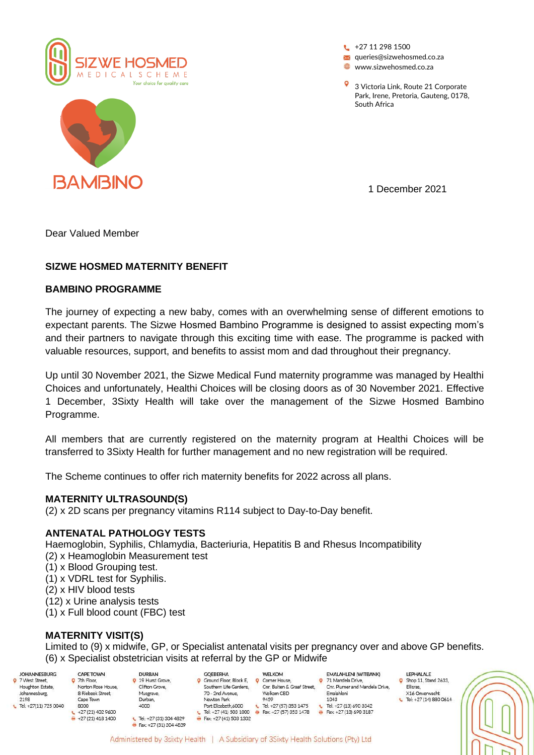

**BAMBINO** 

 $+27 11 298 1500$ **x** queries@sizwehosmed.co.za **www.sizwehosmed.co.za** 

3 Victoria Link, Route 21 Corporate Park, Irene, Pretoria, Gauteng, 0178, South Africa

1 December 2021

Dear Valued Member

## **SIZWE HOSMED MATERNITY BENEFIT**

### **BAMBINO PROGRAMME**

The journey of expecting a new baby, comes with an overwhelming sense of different emotions to expectant parents. The Sizwe Hosmed Bambino Programme is designed to assist expecting mom's and their partners to navigate through this exciting time with ease. The programme is packed with valuable resources, support, and benefits to assist mom and dad throughout their pregnancy.

Up until 30 November 2021, the Sizwe Medical Fund maternity programme was managed by Healthi Choices and unfortunately, Healthi Choices will be closing doors as of 30 November 2021. Effective 1 December, 3Sixty Health will take over the management of the Sizwe Hosmed Bambino Programme.

All members that are currently registered on the maternity program at Healthi Choices will be transferred to 3Sixty Health for further management and no new registration will be required.

The Scheme continues to offer rich maternity benefits for 2022 across all plans.

### **MATERNITY ULTRASOUND(S)**

(2) x 2D scans per pregnancy vitamins R114 subject to Day-to-Day benefit.

### **ANTENATAL PATHOLOGY TESTS**

Haemoglobin, Syphilis, Chlamydia, Bacteriuria, Hepatitis B and Rhesus Incompatibility

- (2) x Heamoglobin Measurement test
- (1) x Blood Grouping test.
- (1) x VDRL test for Syphilis.
- (2) x HIV blood tests
- (12) x Urine analysis tests
- (1) x Full blood count (FBC) test

# **MATERNITY VISIT(S)**

CAPE TOWN

**Q** 7th Floor,

Limited to (9) x midwife, GP, or Specialist antenatal visits per pregnancy over and above GP benefits. (6) x Specialist obstetrician visits at referral by the GP or Midwife

- **IOHANNESRURG** 9 7 West Street, Houghton Estate Johannesburg, 2198 L Tel: +27(11) 725 0040
	- Norton Rose House 8 Riebeek Street. Cape Town 8000  $+27(21)4029600$  $+27(21)4181400$
- **DURAN** 9 19 Hurst Grove, Clifton Grove, Musgrave. Durban, 4000  $E$  Tel: +27 (31) 304 4829

Fax: +27 (31) 304 4839

- **GOEBERHA Q** Ground Floor, Block E, Ground Floor, Block E,<br>Southern Life Gardens, 70 - 2nd Avenue. Newton Park Port Elizabeth.6000 Tel: +27 (41) 503 1000 <br> Fax: +27 (57) 353 1478 Fax: +27 (41) 503 1302
- **WFI KOM Q** Corner House, Cnr. Buiten & Graaf Street. Welkom CBD 0450 Tel: +27 (57) 353 1475  $\epsilon$ 
	- 9 71 Mandela Drive, Cnr. Plumer and Mandela Drive, Emalahleni  $1013$  $E = T$  Tel: +27 (13) 690 3342 Fax: +27 (13) 690 3187

EMALAHLENI (WITBANK)

- **I FDHALALE**  $\frac{1}{2}$  Shop 11, Stand 2633, Ellisras, X16 Onverwacht
	- Tel: +27 (14) 880 0614
-